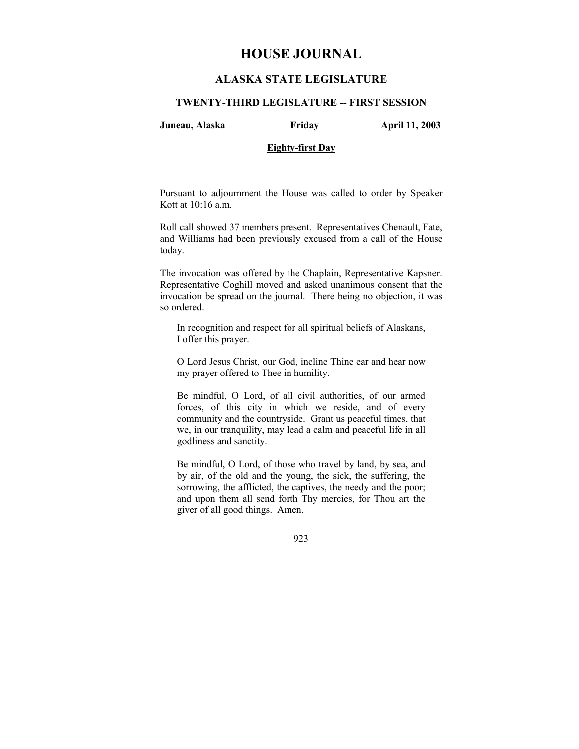# **HOUSE JOURNAL**

## **ALASKA STATE LEGISLATURE**

#### **TWENTY-THIRD LEGISLATURE -- FIRST SESSION**

**Juneau, Alaska Friday April 11, 2003** 

## **Eighty-first Day**

Pursuant to adjournment the House was called to order by Speaker Kott at 10:16 a.m.

Roll call showed 37 members present. Representatives Chenault, Fate, and Williams had been previously excused from a call of the House today.

The invocation was offered by the Chaplain, Representative Kapsner. Representative Coghill moved and asked unanimous consent that the invocation be spread on the journal. There being no objection, it was so ordered.

In recognition and respect for all spiritual beliefs of Alaskans, I offer this prayer.

O Lord Jesus Christ, our God, incline Thine ear and hear now my prayer offered to Thee in humility.

Be mindful, O Lord, of all civil authorities, of our armed forces, of this city in which we reside, and of every community and the countryside. Grant us peaceful times, that we, in our tranquility, may lead a calm and peaceful life in all godliness and sanctity.

Be mindful, O Lord, of those who travel by land, by sea, and by air, of the old and the young, the sick, the suffering, the sorrowing, the afflicted, the captives, the needy and the poor; and upon them all send forth Thy mercies, for Thou art the giver of all good things. Amen.

923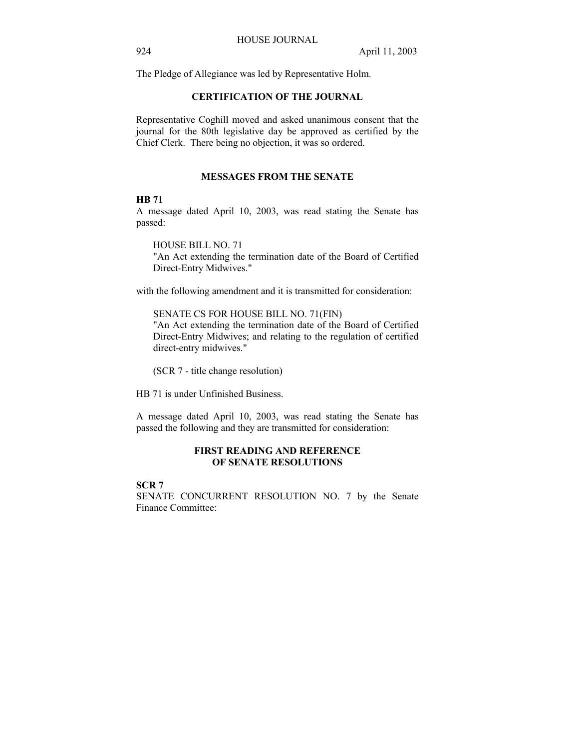The Pledge of Allegiance was led by Representative Holm.

## **CERTIFICATION OF THE JOURNAL**

Representative Coghill moved and asked unanimous consent that the journal for the 80th legislative day be approved as certified by the Chief Clerk. There being no objection, it was so ordered.

## **MESSAGES FROM THE SENATE**

## **HB 71**

A message dated April 10, 2003, was read stating the Senate has passed:

HOUSE BILL NO. 71

"An Act extending the termination date of the Board of Certified Direct-Entry Midwives."

with the following amendment and it is transmitted for consideration:

SENATE CS FOR HOUSE BILL NO. 71(FIN) "An Act extending the termination date of the Board of Certified Direct-Entry Midwives; and relating to the regulation of certified direct-entry midwives."

(SCR 7 - title change resolution)

HB 71 is under Unfinished Business.

A message dated April 10, 2003, was read stating the Senate has passed the following and they are transmitted for consideration:

## **FIRST READING AND REFERENCE OF SENATE RESOLUTIONS**

**SCR 7** 

SENATE CONCURRENT RESOLUTION NO. 7 by the Senate Finance Committee: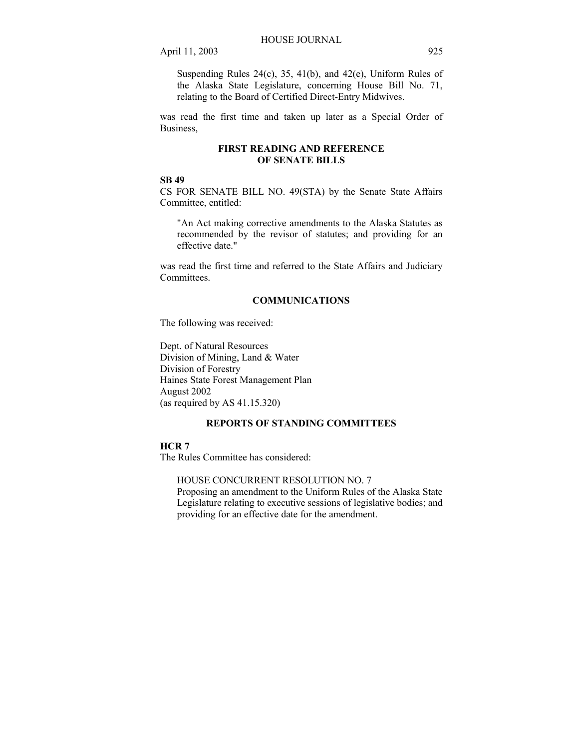Suspending Rules 24(c), 35, 41(b), and 42(e), Uniform Rules of the Alaska State Legislature, concerning House Bill No. 71, relating to the Board of Certified Direct-Entry Midwives.

was read the first time and taken up later as a Special Order of Business,

## **FIRST READING AND REFERENCE OF SENATE BILLS**

#### **SB 49**

CS FOR SENATE BILL NO. 49(STA) by the Senate State Affairs Committee, entitled:

"An Act making corrective amendments to the Alaska Statutes as recommended by the revisor of statutes; and providing for an effective date."

was read the first time and referred to the State Affairs and Judiciary Committees.

#### **COMMUNICATIONS**

The following was received:

Dept. of Natural Resources Division of Mining, Land & Water Division of Forestry Haines State Forest Management Plan August 2002 (as required by AS 41.15.320)

## **REPORTS OF STANDING COMMITTEES**

#### **HCR 7**

The Rules Committee has considered:

HOUSE CONCURRENT RESOLUTION NO. 7 Proposing an amendment to the Uniform Rules of the Alaska State Legislature relating to executive sessions of legislative bodies; and providing for an effective date for the amendment.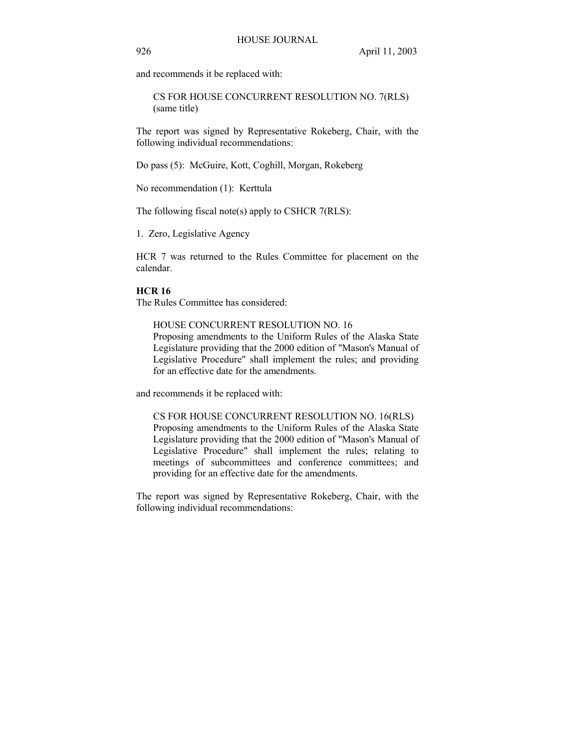and recommends it be replaced with:

CS FOR HOUSE CONCURRENT RESOLUTION NO. 7(RLS) (same title)

The report was signed by Representative Rokeberg, Chair, with the following individual recommendations:

Do pass (5): McGuire, Kott, Coghill, Morgan, Rokeberg

No recommendation (1): Kerttula

The following fiscal note(s) apply to CSHCR 7(RLS):

1. Zero, Legislative Agency

HCR 7 was returned to the Rules Committee for placement on the calendar.

## **HCR 16**

The Rules Committee has considered:

HOUSE CONCURRENT RESOLUTION NO. 16 Proposing amendments to the Uniform Rules of the Alaska State Legislature providing that the 2000 edition of "Mason's Manual of Legislative Procedure" shall implement the rules; and providing for an effective date for the amendments.

and recommends it be replaced with:

CS FOR HOUSE CONCURRENT RESOLUTION NO. 16(RLS) Proposing amendments to the Uniform Rules of the Alaska State Legislature providing that the 2000 edition of "Mason's Manual of Legislative Procedure" shall implement the rules; relating to meetings of subcommittees and conference committees; and providing for an effective date for the amendments.

The report was signed by Representative Rokeberg, Chair, with the following individual recommendations: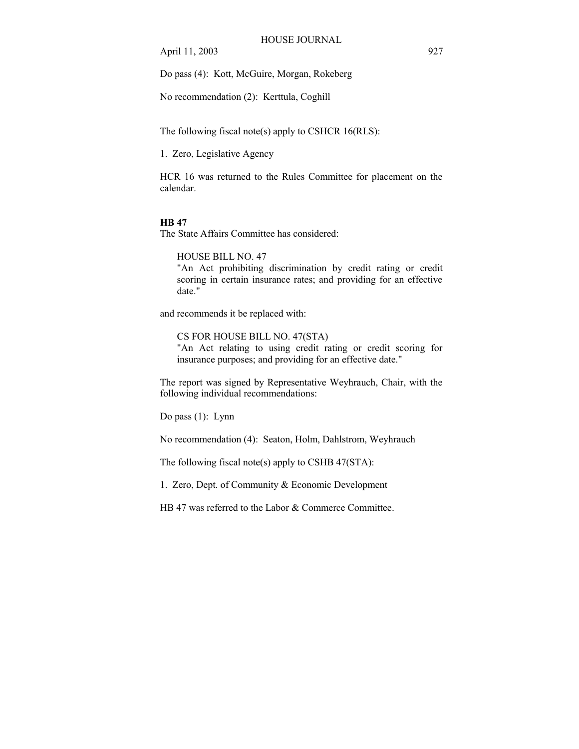Do pass (4): Kott, McGuire, Morgan, Rokeberg

No recommendation (2): Kerttula, Coghill

The following fiscal note(s) apply to CSHCR 16(RLS):

1. Zero, Legislative Agency

HCR 16 was returned to the Rules Committee for placement on the calendar.

#### **HB 47**

The State Affairs Committee has considered:

HOUSE BILL NO. 47

"An Act prohibiting discrimination by credit rating or credit scoring in certain insurance rates; and providing for an effective date."

and recommends it be replaced with:

CS FOR HOUSE BILL NO. 47(STA)

"An Act relating to using credit rating or credit scoring for insurance purposes; and providing for an effective date."

The report was signed by Representative Weyhrauch, Chair, with the following individual recommendations:

Do pass (1): Lynn

No recommendation (4): Seaton, Holm, Dahlstrom, Weyhrauch

The following fiscal note(s) apply to CSHB 47(STA):

1. Zero, Dept. of Community & Economic Development

HB 47 was referred to the Labor & Commerce Committee.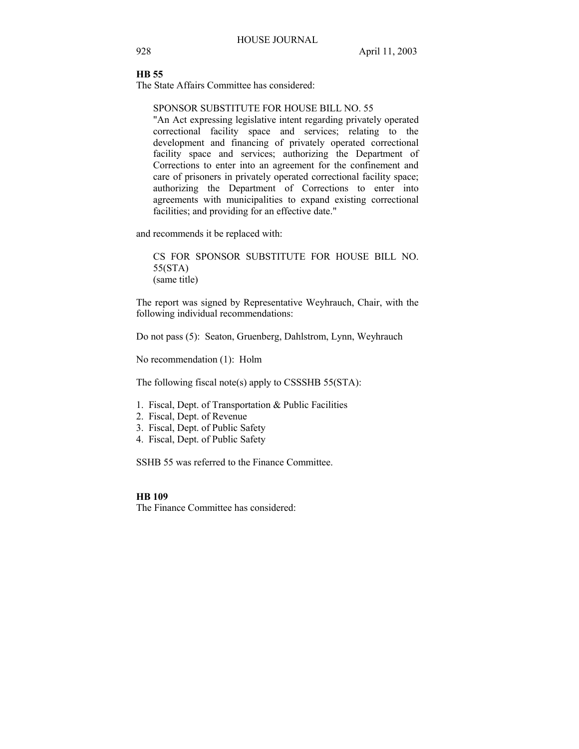## **HB 55**

The State Affairs Committee has considered:

#### SPONSOR SUBSTITUTE FOR HOUSE BILL NO. 55

"An Act expressing legislative intent regarding privately operated correctional facility space and services; relating to the development and financing of privately operated correctional facility space and services; authorizing the Department of Corrections to enter into an agreement for the confinement and care of prisoners in privately operated correctional facility space; authorizing the Department of Corrections to enter into agreements with municipalities to expand existing correctional facilities; and providing for an effective date."

and recommends it be replaced with:

## CS FOR SPONSOR SUBSTITUTE FOR HOUSE BILL NO. 55(STA) (same title)

The report was signed by Representative Weyhrauch, Chair, with the following individual recommendations:

Do not pass (5): Seaton, Gruenberg, Dahlstrom, Lynn, Weyhrauch

No recommendation (1): Holm

The following fiscal note(s) apply to CSSSHB 55(STA):

- 1. Fiscal, Dept. of Transportation & Public Facilities
- 2. Fiscal, Dept. of Revenue
- 3. Fiscal, Dept. of Public Safety
- 4. Fiscal, Dept. of Public Safety

SSHB 55 was referred to the Finance Committee.

### **HB 109**

The Finance Committee has considered: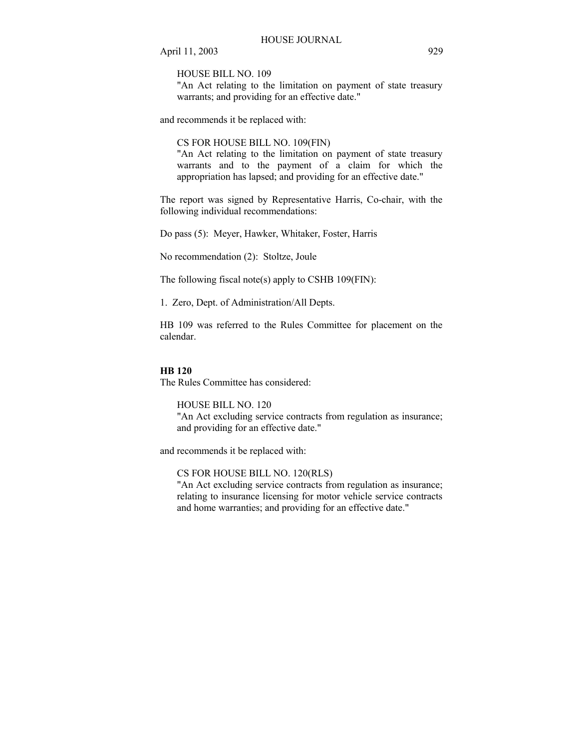HOUSE BILL NO. 109

"An Act relating to the limitation on payment of state treasury warrants; and providing for an effective date."

and recommends it be replaced with:

CS FOR HOUSE BILL NO. 109(FIN)

"An Act relating to the limitation on payment of state treasury warrants and to the payment of a claim for which the appropriation has lapsed; and providing for an effective date."

The report was signed by Representative Harris, Co-chair, with the following individual recommendations:

Do pass (5): Meyer, Hawker, Whitaker, Foster, Harris

No recommendation (2): Stoltze, Joule

The following fiscal note(s) apply to CSHB 109(FIN):

1. Zero, Dept. of Administration/All Depts.

HB 109 was referred to the Rules Committee for placement on the calendar.

#### **HB 120**

The Rules Committee has considered:

HOUSE BILL NO. 120 "An Act excluding service contracts from regulation as insurance;

and providing for an effective date."

and recommends it be replaced with:

CS FOR HOUSE BILL NO. 120(RLS)

"An Act excluding service contracts from regulation as insurance; relating to insurance licensing for motor vehicle service contracts and home warranties; and providing for an effective date."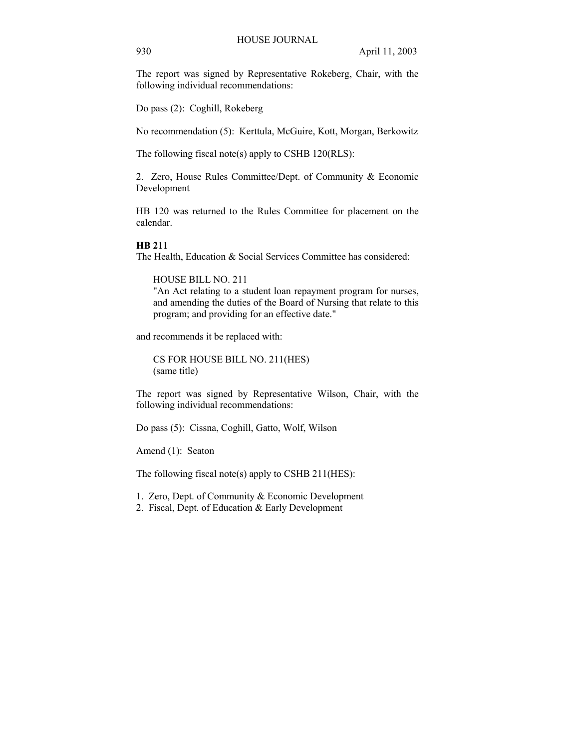The report was signed by Representative Rokeberg, Chair, with the following individual recommendations:

Do pass (2): Coghill, Rokeberg

No recommendation (5): Kerttula, McGuire, Kott, Morgan, Berkowitz

The following fiscal note(s) apply to CSHB 120(RLS):

2. Zero, House Rules Committee/Dept. of Community & Economic Development

HB 120 was returned to the Rules Committee for placement on the calendar.

### **HB 211**

The Health, Education & Social Services Committee has considered:

HOUSE BILL NO. 211

"An Act relating to a student loan repayment program for nurses, and amending the duties of the Board of Nursing that relate to this program; and providing for an effective date."

and recommends it be replaced with:

CS FOR HOUSE BILL NO. 211(HES) (same title)

The report was signed by Representative Wilson, Chair, with the following individual recommendations:

Do pass (5): Cissna, Coghill, Gatto, Wolf, Wilson

Amend (1): Seaton

The following fiscal note(s) apply to CSHB  $211(HES)$ :

1. Zero, Dept. of Community & Economic Development

2. Fiscal, Dept. of Education & Early Development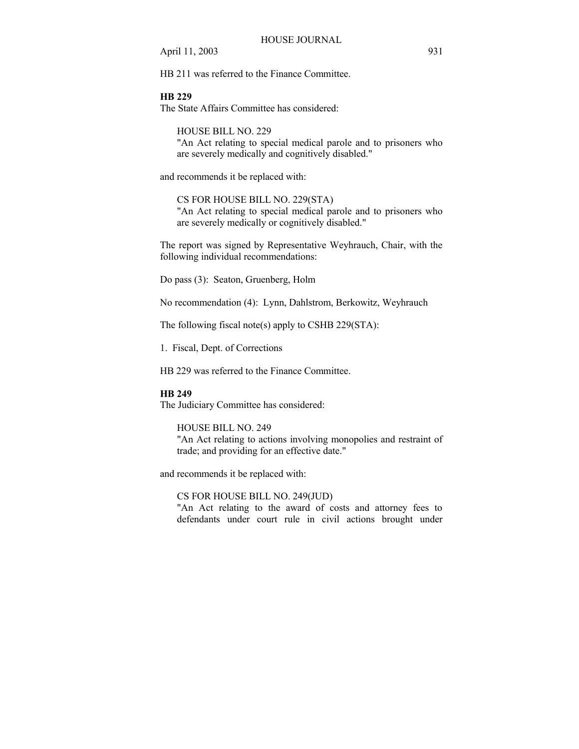HB 211 was referred to the Finance Committee.

**HB 229**

The State Affairs Committee has considered:

HOUSE BILL NO. 229 "An Act relating to special medical parole and to prisoners who are severely medically and cognitively disabled."

and recommends it be replaced with:

CS FOR HOUSE BILL NO. 229(STA) "An Act relating to special medical parole and to prisoners who are severely medically or cognitively disabled."

The report was signed by Representative Weyhrauch, Chair, with the following individual recommendations:

Do pass (3): Seaton, Gruenberg, Holm

No recommendation (4): Lynn, Dahlstrom, Berkowitz, Weyhrauch

The following fiscal note(s) apply to CSHB 229(STA):

1. Fiscal, Dept. of Corrections

HB 229 was referred to the Finance Committee.

### **HB 249**

The Judiciary Committee has considered:

### HOUSE BILL NO. 249

"An Act relating to actions involving monopolies and restraint of trade; and providing for an effective date."

and recommends it be replaced with:

CS FOR HOUSE BILL NO. 249(JUD)

"An Act relating to the award of costs and attorney fees to defendants under court rule in civil actions brought under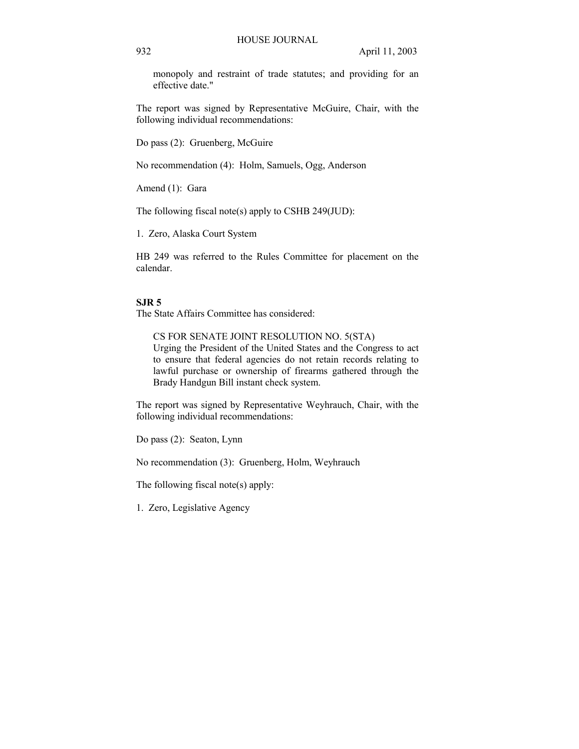monopoly and restraint of trade statutes; and providing for an effective date."

The report was signed by Representative McGuire, Chair, with the following individual recommendations:

Do pass (2): Gruenberg, McGuire

No recommendation (4): Holm, Samuels, Ogg, Anderson

Amend (1): Gara

The following fiscal note(s) apply to CSHB 249(JUD):

1. Zero, Alaska Court System

HB 249 was referred to the Rules Committee for placement on the calendar.

### **SJR 5**

The State Affairs Committee has considered:

CS FOR SENATE JOINT RESOLUTION NO. 5(STA) Urging the President of the United States and the Congress to act to ensure that federal agencies do not retain records relating to lawful purchase or ownership of firearms gathered through the Brady Handgun Bill instant check system.

The report was signed by Representative Weyhrauch, Chair, with the following individual recommendations:

Do pass (2): Seaton, Lynn

No recommendation (3): Gruenberg, Holm, Weyhrauch

The following fiscal note(s) apply:

1. Zero, Legislative Agency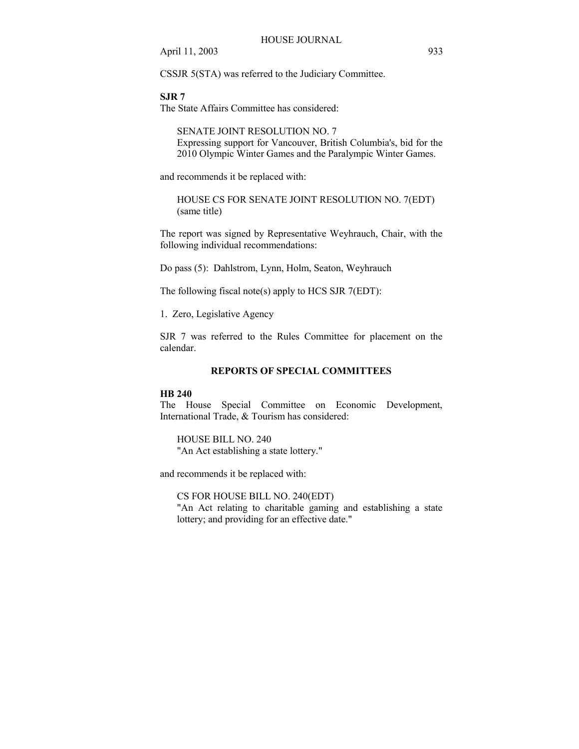CSSJR 5(STA) was referred to the Judiciary Committee.

**SJR 7**

The State Affairs Committee has considered:

SENATE JOINT RESOLUTION NO. 7 Expressing support for Vancouver, British Columbia's, bid for the 2010 Olympic Winter Games and the Paralympic Winter Games.

and recommends it be replaced with:

HOUSE CS FOR SENATE JOINT RESOLUTION NO. 7(EDT) (same title)

The report was signed by Representative Weyhrauch, Chair, with the following individual recommendations:

Do pass (5): Dahlstrom, Lynn, Holm, Seaton, Weyhrauch

The following fiscal note(s) apply to HCS SJR 7(EDT):

1. Zero, Legislative Agency

SJR 7 was referred to the Rules Committee for placement on the calendar.

## **REPORTS OF SPECIAL COMMITTEES**

### **HB 240**

The House Special Committee on Economic Development, International Trade, & Tourism has considered:

HOUSE BILL NO. 240 "An Act establishing a state lottery."

and recommends it be replaced with:

CS FOR HOUSE BILL NO. 240(EDT) "An Act relating to charitable gaming and establishing a state lottery; and providing for an effective date."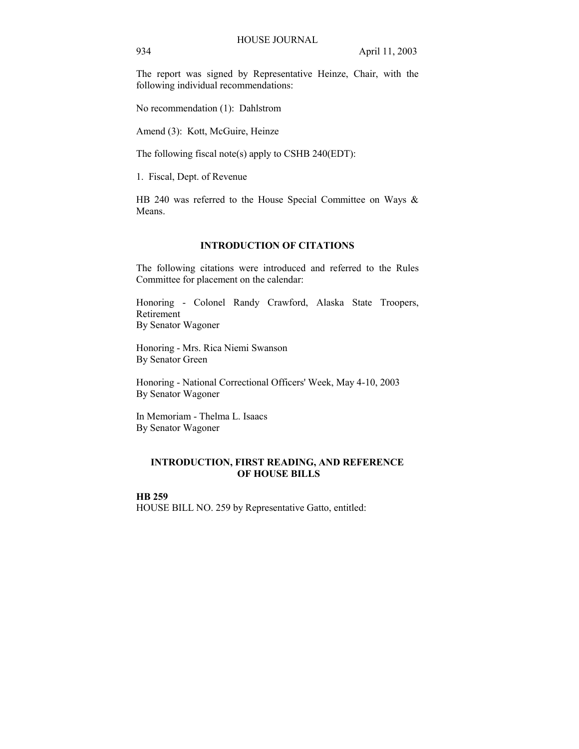The report was signed by Representative Heinze, Chair, with the following individual recommendations:

No recommendation (1): Dahlstrom

Amend (3): Kott, McGuire, Heinze

The following fiscal note(s) apply to CSHB 240(EDT):

1. Fiscal, Dept. of Revenue

HB 240 was referred to the House Special Committee on Ways & Means.

## **INTRODUCTION OF CITATIONS**

The following citations were introduced and referred to the Rules Committee for placement on the calendar:

Honoring - Colonel Randy Crawford, Alaska State Troopers, Retirement By Senator Wagoner

Honoring - Mrs. Rica Niemi Swanson By Senator Green

Honoring - National Correctional Officers' Week, May 4-10, 2003 By Senator Wagoner

In Memoriam - Thelma L. Isaacs By Senator Wagoner

## **INTRODUCTION, FIRST READING, AND REFERENCE OF HOUSE BILLS**

**HB 259** HOUSE BILL NO. 259 by Representative Gatto, entitled: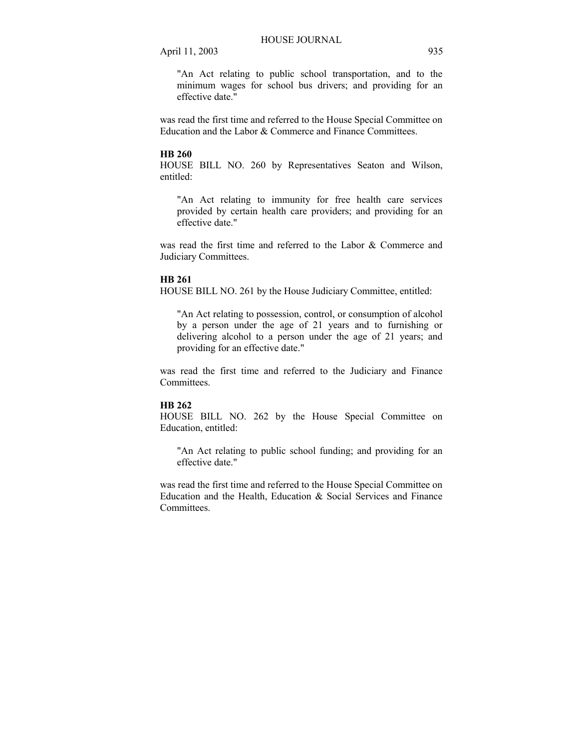"An Act relating to public school transportation, and to the minimum wages for school bus drivers; and providing for an effective date."

was read the first time and referred to the House Special Committee on Education and the Labor & Commerce and Finance Committees.

### **HB 260**

HOUSE BILL NO. 260 by Representatives Seaton and Wilson, entitled:

"An Act relating to immunity for free health care services provided by certain health care providers; and providing for an effective date."

was read the first time and referred to the Labor & Commerce and Judiciary Committees.

#### **HB 261**

HOUSE BILL NO. 261 by the House Judiciary Committee, entitled:

"An Act relating to possession, control, or consumption of alcohol by a person under the age of 21 years and to furnishing or delivering alcohol to a person under the age of 21 years; and providing for an effective date."

was read the first time and referred to the Judiciary and Finance Committees.

## **HB 262**

HOUSE BILL NO. 262 by the House Special Committee on Education, entitled:

"An Act relating to public school funding; and providing for an effective date."

was read the first time and referred to the House Special Committee on Education and the Health, Education & Social Services and Finance Committees.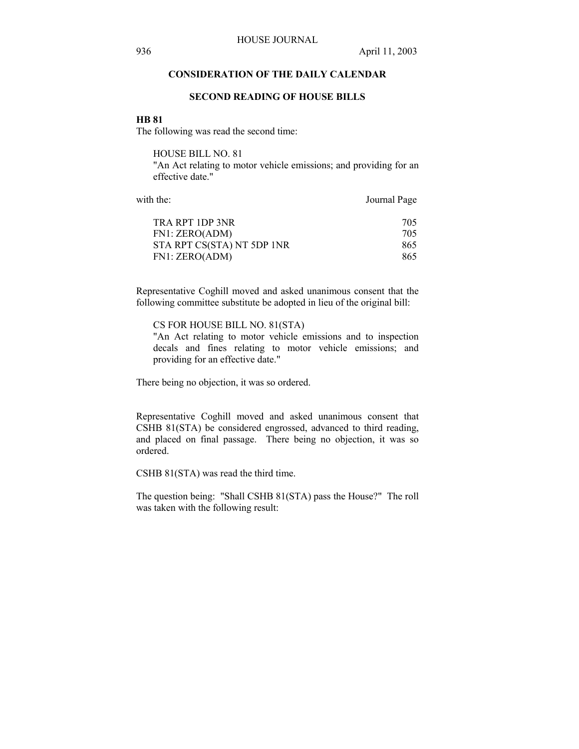## **CONSIDERATION OF THE DAILY CALENDAR**

### **SECOND READING OF HOUSE BILLS**

### **HB 81**

The following was read the second time:

HOUSE BILL NO. 81

"An Act relating to motor vehicle emissions; and providing for an effective date."

with the: Journal Page TRA RPT 1DP 3NR 705 FN1: ZERO(ADM) 705 STA RPT CS(STA) NT 5DP 1NR 865 FN1: ZERO(ADM) 865

Representative Coghill moved and asked unanimous consent that the following committee substitute be adopted in lieu of the original bill:

## CS FOR HOUSE BILL NO. 81(STA)

"An Act relating to motor vehicle emissions and to inspection decals and fines relating to motor vehicle emissions; and providing for an effective date."

There being no objection, it was so ordered.

Representative Coghill moved and asked unanimous consent that CSHB 81(STA) be considered engrossed, advanced to third reading, and placed on final passage. There being no objection, it was so ordered.

CSHB 81(STA) was read the third time.

The question being: "Shall CSHB 81(STA) pass the House?" The roll was taken with the following result: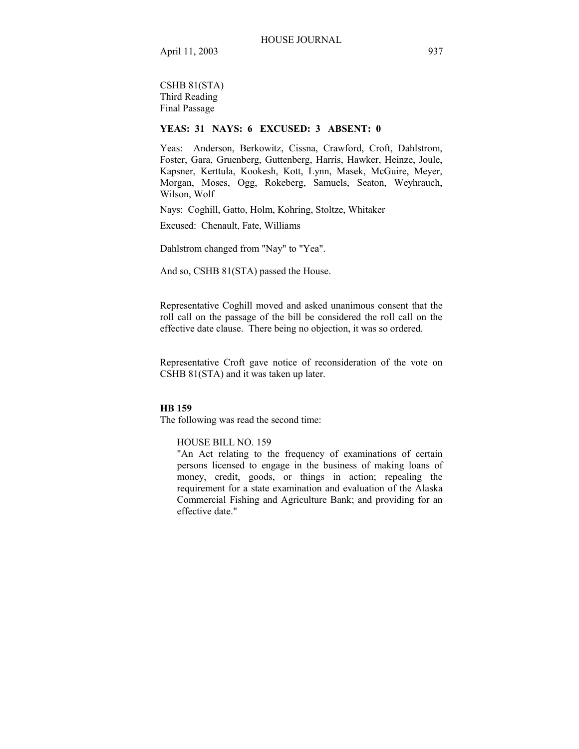CSHB 81(STA) Third Reading Final Passage

## **YEAS: 31 NAYS: 6 EXCUSED: 3 ABSENT: 0**

Yeas: Anderson, Berkowitz, Cissna, Crawford, Croft, Dahlstrom, Foster, Gara, Gruenberg, Guttenberg, Harris, Hawker, Heinze, Joule, Kapsner, Kerttula, Kookesh, Kott, Lynn, Masek, McGuire, Meyer, Morgan, Moses, Ogg, Rokeberg, Samuels, Seaton, Weyhrauch, Wilson, Wolf

Nays: Coghill, Gatto, Holm, Kohring, Stoltze, Whitaker

Excused: Chenault, Fate, Williams

Dahlstrom changed from "Nay" to "Yea".

And so, CSHB 81(STA) passed the House.

Representative Coghill moved and asked unanimous consent that the roll call on the passage of the bill be considered the roll call on the effective date clause. There being no objection, it was so ordered.

Representative Croft gave notice of reconsideration of the vote on CSHB 81(STA) and it was taken up later.

#### **HB 159**

The following was read the second time:

HOUSE BILL NO. 159

"An Act relating to the frequency of examinations of certain persons licensed to engage in the business of making loans of money, credit, goods, or things in action; repealing the requirement for a state examination and evaluation of the Alaska Commercial Fishing and Agriculture Bank; and providing for an effective date."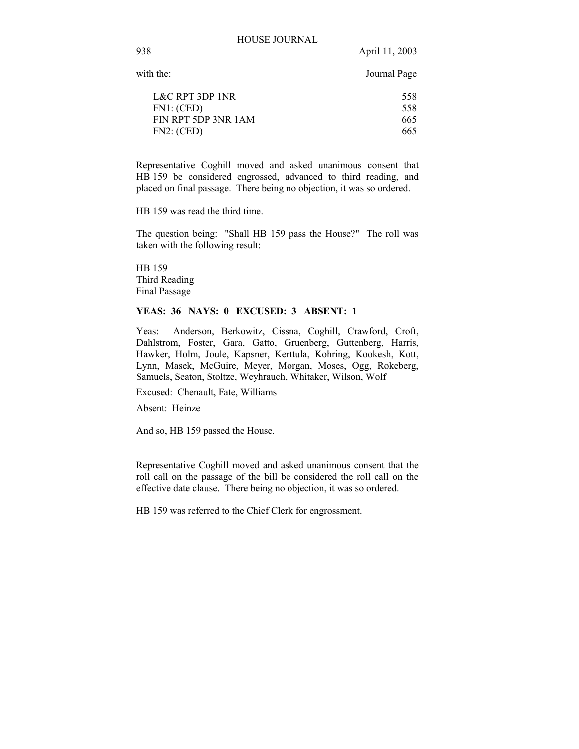with the: Journal Page

| L&C RPT 3DP 1NR     | 558  |
|---------------------|------|
| FN1: (CED)          | 558  |
| FIN RPT 5DP 3NR 1AM | 665  |
| FN2: (CED)          | 665. |

Representative Coghill moved and asked unanimous consent that HB 159 be considered engrossed, advanced to third reading, and placed on final passage. There being no objection, it was so ordered.

HB 159 was read the third time.

The question being: "Shall HB 159 pass the House?" The roll was taken with the following result:

HB 159 Third Reading Final Passage

### **YEAS: 36 NAYS: 0 EXCUSED: 3 ABSENT: 1**

Yeas: Anderson, Berkowitz, Cissna, Coghill, Crawford, Croft, Dahlstrom, Foster, Gara, Gatto, Gruenberg, Guttenberg, Harris, Hawker, Holm, Joule, Kapsner, Kerttula, Kohring, Kookesh, Kott, Lynn, Masek, McGuire, Meyer, Morgan, Moses, Ogg, Rokeberg, Samuels, Seaton, Stoltze, Weyhrauch, Whitaker, Wilson, Wolf

Excused: Chenault, Fate, Williams

Absent: Heinze

And so, HB 159 passed the House.

Representative Coghill moved and asked unanimous consent that the roll call on the passage of the bill be considered the roll call on the effective date clause. There being no objection, it was so ordered.

HB 159 was referred to the Chief Clerk for engrossment.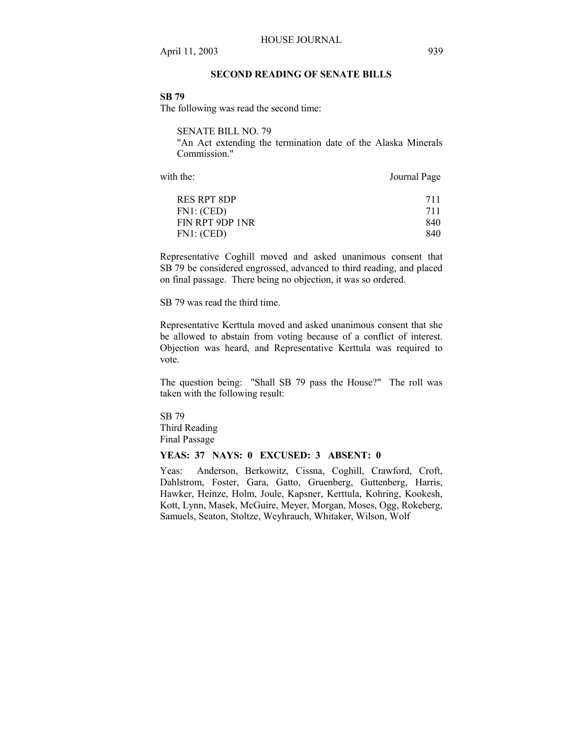## **SECOND READING OF SENATE BILLS**

## **SB 79**

The following was read the second time:

SENATE BILL NO. 79 "An Act extending the termination date of the Alaska Minerals Commission."

with the: Journal Page

| <b>RES RPT 8DP</b> | 711 |
|--------------------|-----|
| FN1: (CED)         | 711 |
| FIN RPT 9DP 1NR    | 840 |
| FN1: (CED)         | 840 |
|                    |     |

Representative Coghill moved and asked unanimous consent that SB 79 be considered engrossed, advanced to third reading, and placed on final passage. There being no objection, it was so ordered.

SB 79 was read the third time.

Representative Kerttula moved and asked unanimous consent that she be allowed to abstain from voting because of a conflict of interest. Objection was heard, and Representative Kerttula was required to vote.

The question being: "Shall SB 79 pass the House?" The roll was taken with the following result:

SB 79 Third Reading Final Passage

### **YEAS: 37 NAYS: 0 EXCUSED: 3 ABSENT: 0**

Yeas: Anderson, Berkowitz, Cissna, Coghill, Crawford, Croft, Dahlstrom, Foster, Gara, Gatto, Gruenberg, Guttenberg, Harris, Hawker, Heinze, Holm, Joule, Kapsner, Kerttula, Kohring, Kookesh, Kott, Lynn, Masek, McGuire, Meyer, Morgan, Moses, Ogg, Rokeberg, Samuels, Seaton, Stoltze, Weyhrauch, Whitaker, Wilson, Wolf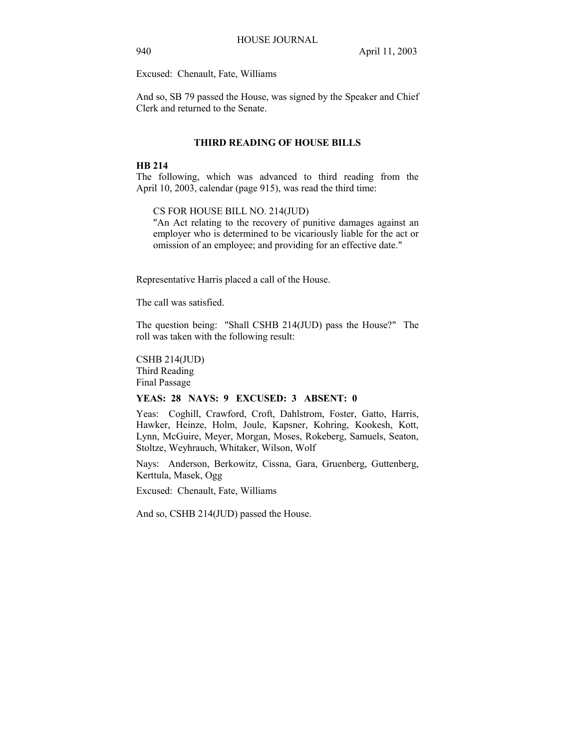Excused: Chenault, Fate, Williams

And so, SB 79 passed the House, was signed by the Speaker and Chief Clerk and returned to the Senate.

### **THIRD READING OF HOUSE BILLS**

#### **HB 214**

The following, which was advanced to third reading from the April 10, 2003, calendar (page 915), was read the third time:

CS FOR HOUSE BILL NO. 214(JUD)

"An Act relating to the recovery of punitive damages against an employer who is determined to be vicariously liable for the act or omission of an employee; and providing for an effective date."

Representative Harris placed a call of the House.

The call was satisfied.

The question being: "Shall CSHB 214(JUD) pass the House?" The roll was taken with the following result:

CSHB 214(JUD) Third Reading Final Passage

#### **YEAS: 28 NAYS: 9 EXCUSED: 3 ABSENT: 0**

Yeas: Coghill, Crawford, Croft, Dahlstrom, Foster, Gatto, Harris, Hawker, Heinze, Holm, Joule, Kapsner, Kohring, Kookesh, Kott, Lynn, McGuire, Meyer, Morgan, Moses, Rokeberg, Samuels, Seaton, Stoltze, Weyhrauch, Whitaker, Wilson, Wolf

Nays: Anderson, Berkowitz, Cissna, Gara, Gruenberg, Guttenberg, Kerttula, Masek, Ogg

Excused: Chenault, Fate, Williams

And so, CSHB 214(JUD) passed the House.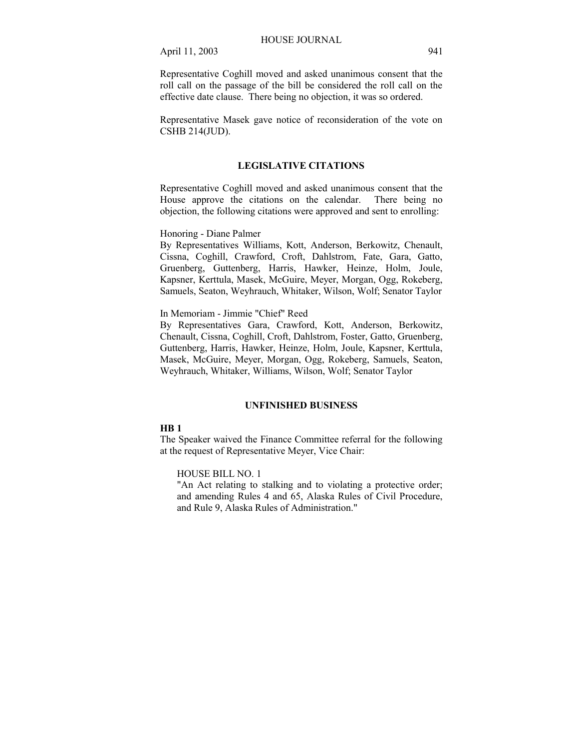Representative Coghill moved and asked unanimous consent that the roll call on the passage of the bill be considered the roll call on the effective date clause. There being no objection, it was so ordered.

Representative Masek gave notice of reconsideration of the vote on CSHB 214(JUD).

## **LEGISLATIVE CITATIONS**

Representative Coghill moved and asked unanimous consent that the House approve the citations on the calendar. There being no objection, the following citations were approved and sent to enrolling:

## Honoring - Diane Palmer

By Representatives Williams, Kott, Anderson, Berkowitz, Chenault, Cissna, Coghill, Crawford, Croft, Dahlstrom, Fate, Gara, Gatto, Gruenberg, Guttenberg, Harris, Hawker, Heinze, Holm, Joule, Kapsner, Kerttula, Masek, McGuire, Meyer, Morgan, Ogg, Rokeberg, Samuels, Seaton, Weyhrauch, Whitaker, Wilson, Wolf; Senator Taylor

In Memoriam - Jimmie "Chief" Reed

By Representatives Gara, Crawford, Kott, Anderson, Berkowitz, Chenault, Cissna, Coghill, Croft, Dahlstrom, Foster, Gatto, Gruenberg, Guttenberg, Harris, Hawker, Heinze, Holm, Joule, Kapsner, Kerttula, Masek, McGuire, Meyer, Morgan, Ogg, Rokeberg, Samuels, Seaton, Weyhrauch, Whitaker, Williams, Wilson, Wolf; Senator Taylor

## **UNFINISHED BUSINESS**

## **HB 1**

The Speaker waived the Finance Committee referral for the following at the request of Representative Meyer, Vice Chair:

HOUSE BILL NO. 1

"An Act relating to stalking and to violating a protective order; and amending Rules 4 and 65, Alaska Rules of Civil Procedure, and Rule 9, Alaska Rules of Administration."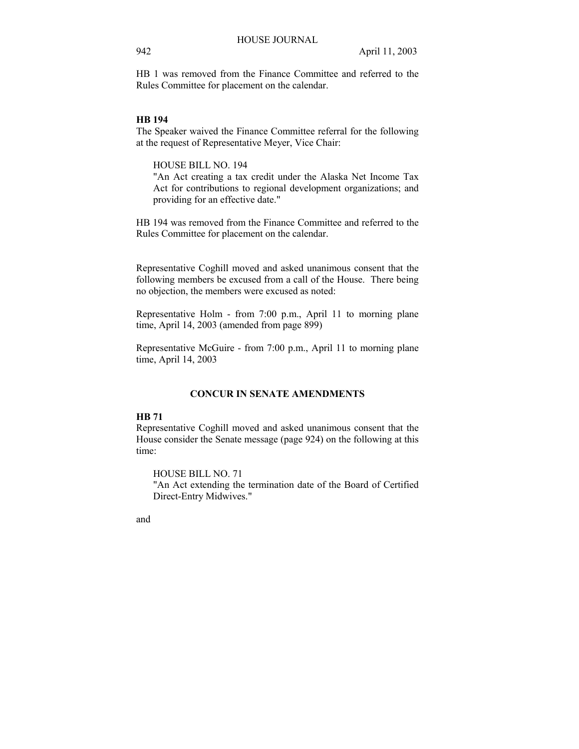HB 1 was removed from the Finance Committee and referred to the Rules Committee for placement on the calendar.

#### **HB 194**

The Speaker waived the Finance Committee referral for the following at the request of Representative Meyer, Vice Chair:

HOUSE BILL NO. 194

"An Act creating a tax credit under the Alaska Net Income Tax Act for contributions to regional development organizations; and providing for an effective date."

HB 194 was removed from the Finance Committee and referred to the Rules Committee for placement on the calendar.

Representative Coghill moved and asked unanimous consent that the following members be excused from a call of the House. There being no objection, the members were excused as noted:

Representative Holm - from 7:00 p.m., April 11 to morning plane time, April 14, 2003 (amended from page 899)

Representative McGuire - from 7:00 p.m., April 11 to morning plane time, April 14, 2003

### **CONCUR IN SENATE AMENDMENTS**

## **HB 71**

Representative Coghill moved and asked unanimous consent that the House consider the Senate message (page 924) on the following at this time:

HOUSE BILL NO. 71 "An Act extending the termination date of the Board of Certified Direct-Entry Midwives."

and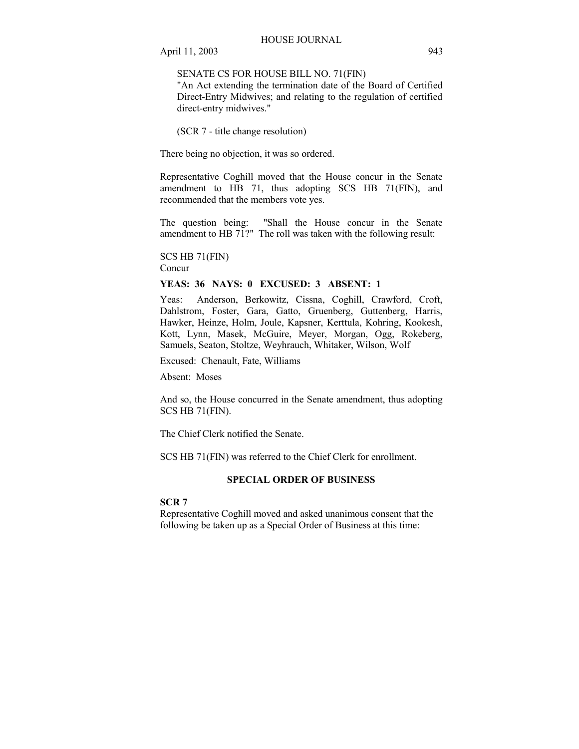## SENATE CS FOR HOUSE BILL NO. 71(FIN)

"An Act extending the termination date of the Board of Certified Direct-Entry Midwives; and relating to the regulation of certified direct-entry midwives."

(SCR 7 - title change resolution)

There being no objection, it was so ordered.

Representative Coghill moved that the House concur in the Senate amendment to HB 71, thus adopting SCS HB 71(FIN), and recommended that the members vote yes.

The question being: "Shall the House concur in the Senate amendment to HB 71?" The roll was taken with the following result:

SCS HB 71(FIN) Concur

## **YEAS: 36 NAYS: 0 EXCUSED: 3 ABSENT: 1**

Yeas: Anderson, Berkowitz, Cissna, Coghill, Crawford, Croft, Dahlstrom, Foster, Gara, Gatto, Gruenberg, Guttenberg, Harris, Hawker, Heinze, Holm, Joule, Kapsner, Kerttula, Kohring, Kookesh, Kott, Lynn, Masek, McGuire, Meyer, Morgan, Ogg, Rokeberg, Samuels, Seaton, Stoltze, Weyhrauch, Whitaker, Wilson, Wolf

Excused: Chenault, Fate, Williams

Absent: Moses

And so, the House concurred in the Senate amendment, thus adopting SCS HB 71(FIN).

The Chief Clerk notified the Senate.

SCS HB 71(FIN) was referred to the Chief Clerk for enrollment.

## **SPECIAL ORDER OF BUSINESS**

### **SCR 7**

Representative Coghill moved and asked unanimous consent that the following be taken up as a Special Order of Business at this time: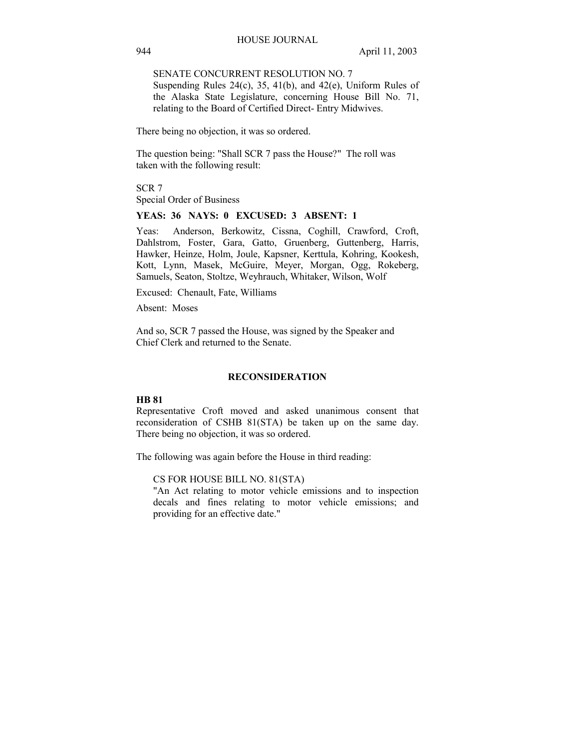## SENATE CONCURRENT RESOLUTION NO. 7

Suspending Rules 24(c), 35, 41(b), and 42(e), Uniform Rules of the Alaska State Legislature, concerning House Bill No. 71, relating to the Board of Certified Direct- Entry Midwives.

There being no objection, it was so ordered.

The question being: "Shall SCR 7 pass the House?" The roll was taken with the following result:

SCR 7 Special Order of Business

#### **YEAS: 36 NAYS: 0 EXCUSED: 3 ABSENT: 1**

Yeas: Anderson, Berkowitz, Cissna, Coghill, Crawford, Croft, Dahlstrom, Foster, Gara, Gatto, Gruenberg, Guttenberg, Harris, Hawker, Heinze, Holm, Joule, Kapsner, Kerttula, Kohring, Kookesh, Kott, Lynn, Masek, McGuire, Meyer, Morgan, Ogg, Rokeberg, Samuels, Seaton, Stoltze, Weyhrauch, Whitaker, Wilson, Wolf

Excused: Chenault, Fate, Williams

Absent: Moses

And so, SCR 7 passed the House, was signed by the Speaker and Chief Clerk and returned to the Senate.

#### **RECONSIDERATION**

## **HB 81**

Representative Croft moved and asked unanimous consent that reconsideration of CSHB 81(STA) be taken up on the same day. There being no objection, it was so ordered.

The following was again before the House in third reading:

#### CS FOR HOUSE BILL NO. 81(STA)

"An Act relating to motor vehicle emissions and to inspection decals and fines relating to motor vehicle emissions; and providing for an effective date."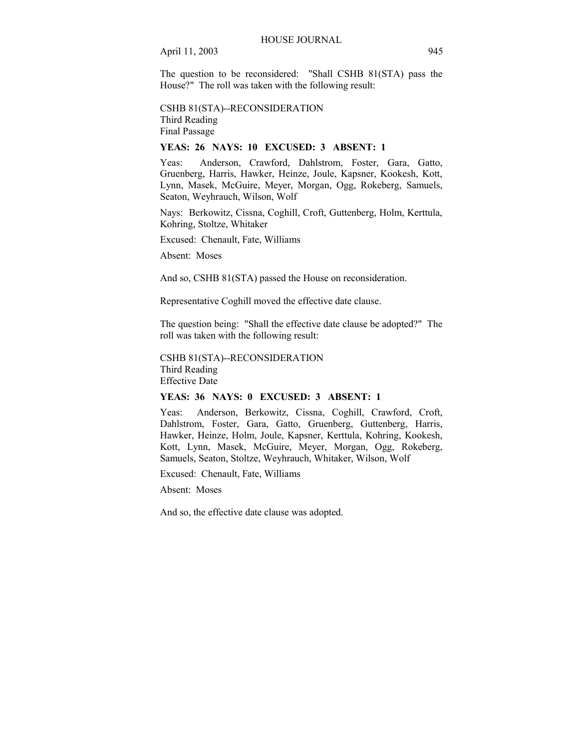The question to be reconsidered: "Shall CSHB 81(STA) pass the House?" The roll was taken with the following result:

CSHB 81(STA)--RECONSIDERATION Third Reading Final Passage

### **YEAS: 26 NAYS: 10 EXCUSED: 3 ABSENT: 1**

Yeas: Anderson, Crawford, Dahlstrom, Foster, Gara, Gatto, Gruenberg, Harris, Hawker, Heinze, Joule, Kapsner, Kookesh, Kott, Lynn, Masek, McGuire, Meyer, Morgan, Ogg, Rokeberg, Samuels, Seaton, Weyhrauch, Wilson, Wolf

Nays: Berkowitz, Cissna, Coghill, Croft, Guttenberg, Holm, Kerttula, Kohring, Stoltze, Whitaker

Excused: Chenault, Fate, Williams

Absent: Moses

And so, CSHB 81(STA) passed the House on reconsideration.

Representative Coghill moved the effective date clause.

The question being: "Shall the effective date clause be adopted?" The roll was taken with the following result:

CSHB 81(STA)--RECONSIDERATION Third Reading Effective Date

### **YEAS: 36 NAYS: 0 EXCUSED: 3 ABSENT: 1**

Yeas: Anderson, Berkowitz, Cissna, Coghill, Crawford, Croft, Dahlstrom, Foster, Gara, Gatto, Gruenberg, Guttenberg, Harris, Hawker, Heinze, Holm, Joule, Kapsner, Kerttula, Kohring, Kookesh, Kott, Lynn, Masek, McGuire, Meyer, Morgan, Ogg, Rokeberg, Samuels, Seaton, Stoltze, Weyhrauch, Whitaker, Wilson, Wolf

Excused: Chenault, Fate, Williams

Absent: Moses

And so, the effective date clause was adopted.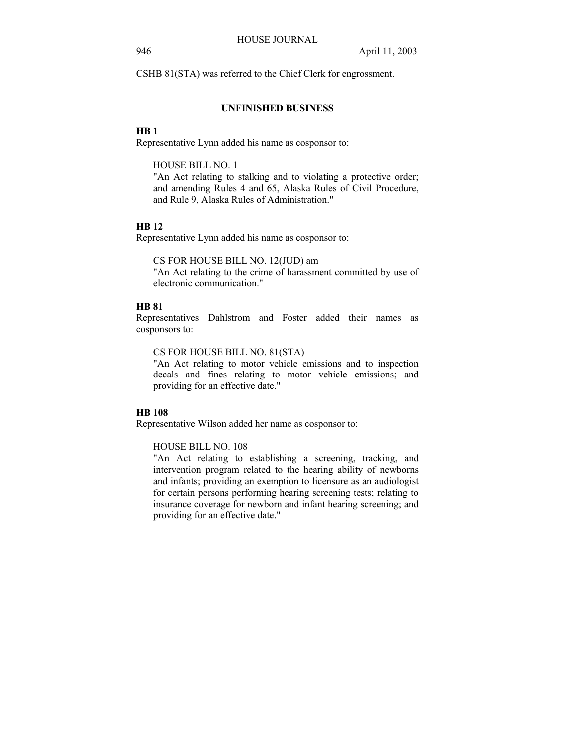CSHB 81(STA) was referred to the Chief Clerk for engrossment.

## **UNFINISHED BUSINESS**

## **HB 1**

Representative Lynn added his name as cosponsor to:

HOUSE BILL NO. 1

"An Act relating to stalking and to violating a protective order; and amending Rules 4 and 65, Alaska Rules of Civil Procedure, and Rule 9, Alaska Rules of Administration."

### **HB 12**

Representative Lynn added his name as cosponsor to:

CS FOR HOUSE BILL NO. 12(JUD) am

"An Act relating to the crime of harassment committed by use of electronic communication."

## **HB 81**

Representatives Dahlstrom and Foster added their names as cosponsors to:

CS FOR HOUSE BILL NO. 81(STA)

"An Act relating to motor vehicle emissions and to inspection decals and fines relating to motor vehicle emissions; and providing for an effective date."

## **HB 108**

Representative Wilson added her name as cosponsor to:

#### HOUSE BILL NO. 108

"An Act relating to establishing a screening, tracking, and intervention program related to the hearing ability of newborns and infants; providing an exemption to licensure as an audiologist for certain persons performing hearing screening tests; relating to insurance coverage for newborn and infant hearing screening; and providing for an effective date."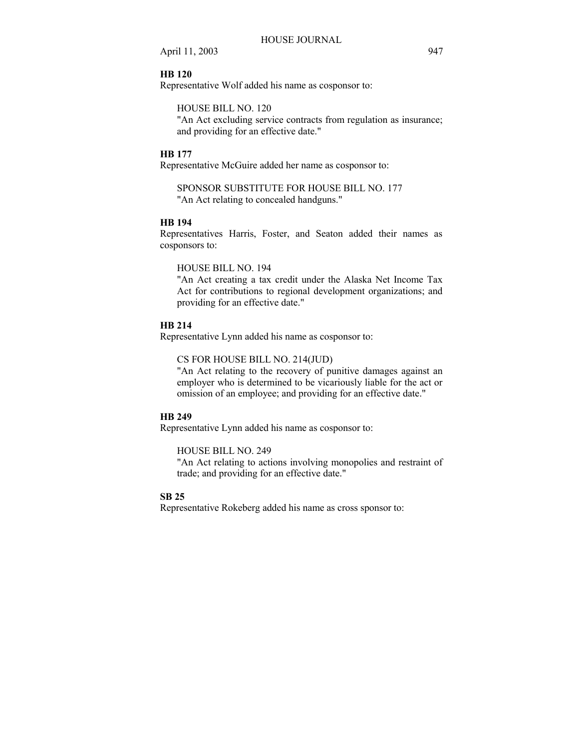#### **HB 120**

Representative Wolf added his name as cosponsor to:

HOUSE BILL NO. 120

"An Act excluding service contracts from regulation as insurance; and providing for an effective date."

## **HB 177**

Representative McGuire added her name as cosponsor to:

SPONSOR SUBSTITUTE FOR HOUSE BILL NO. 177 "An Act relating to concealed handguns."

## **HB 194**

Representatives Harris, Foster, and Seaton added their names as cosponsors to:

HOUSE BILL NO. 194

"An Act creating a tax credit under the Alaska Net Income Tax Act for contributions to regional development organizations; and providing for an effective date."

#### **HB 214**

Representative Lynn added his name as cosponsor to:

CS FOR HOUSE BILL NO. 214(JUD)

"An Act relating to the recovery of punitive damages against an employer who is determined to be vicariously liable for the act or omission of an employee; and providing for an effective date."

#### **HB 249**

Representative Lynn added his name as cosponsor to:

HOUSE BILL NO. 249

"An Act relating to actions involving monopolies and restraint of trade; and providing for an effective date."

### **SB 25**

Representative Rokeberg added his name as cross sponsor to: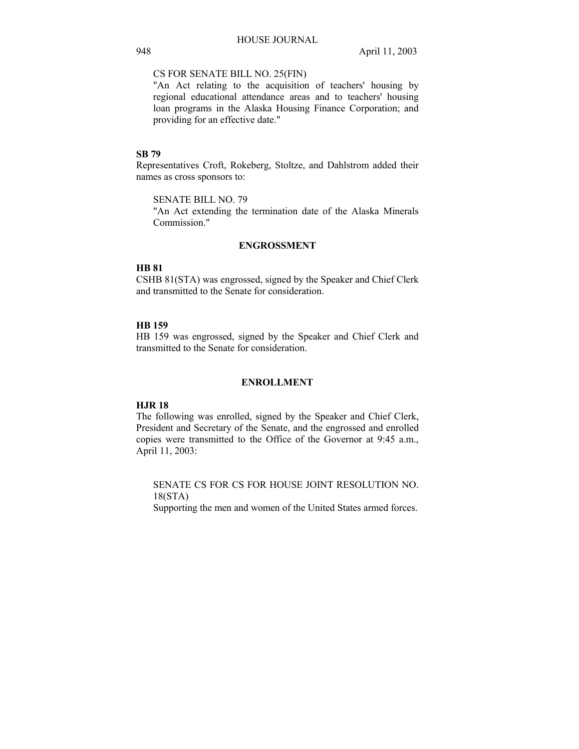## CS FOR SENATE BILL NO. 25(FIN)

"An Act relating to the acquisition of teachers' housing by regional educational attendance areas and to teachers' housing loan programs in the Alaska Housing Finance Corporation; and providing for an effective date."

## **SB 79**

Representatives Croft, Rokeberg, Stoltze, and Dahlstrom added their names as cross sponsors to:

SENATE BILL NO. 79

"An Act extending the termination date of the Alaska Minerals Commission."

## **ENGROSSMENT**

### **HB 81**

CSHB 81(STA) was engrossed, signed by the Speaker and Chief Clerk and transmitted to the Senate for consideration.

### **HB 159**

HB 159 was engrossed, signed by the Speaker and Chief Clerk and transmitted to the Senate for consideration.

## **ENROLLMENT**

## **HJR 18**

The following was enrolled, signed by the Speaker and Chief Clerk, President and Secretary of the Senate, and the engrossed and enrolled copies were transmitted to the Office of the Governor at 9:45 a.m., April 11, 2003:

SENATE CS FOR CS FOR HOUSE JOINT RESOLUTION NO. 18(STA)

Supporting the men and women of the United States armed forces.